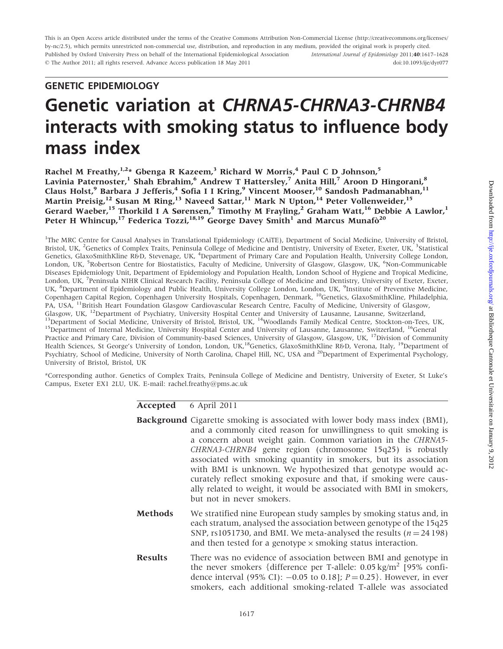This is an Open Access article distributed under the terms of the Creative Commons Attribution Non-Commercial License (http://creativecommons.org/licenses/ by-nc/2.5), which permits unrestricted non-commercial use, distribution, and reproduction in any medium, provided the original work is properly cited. Published by Oxford University Press on behalf of the International Epidemiological Association - The Author 2011; all rights reserved. Advance Access publication 18 May 2011 International Journal of Epidemiology 2011;40:1617–1628 doi:10.1093/ije/dyr077

# GENETIC EPIDEMIOLOGY

# Genetic variation at CHRNA5-CHRNA3-CHRNB4 interacts with smoking status to influence body mass index

Rachel M Freathy,  $1.2*$  Gbenga R Kazeem,<sup>3</sup> Richard W Morris,<sup>4</sup> Paul C D Johnson,<sup>5</sup> Lavinia Paternoster,<sup>1</sup> Shah Ebrahim,<sup>6</sup> Andrew T Hattersley,<sup>7</sup> Anita Hill,<sup>7</sup> Aroon D Hingorani,<sup>8</sup> Claus Holst,<sup>9</sup> Barbara J Jefferis,<sup>4</sup> Sofia I I Kring,<sup>9</sup> Vincent Mooser,<sup>10</sup> Sandosh Padmanabhan,<sup>11</sup> Martin Preisig,<sup>12</sup> Susan M Ring,<sup>13</sup> Naveed Sattar,<sup>11</sup> Mark N Upton,<sup>14</sup> Peter Vollenweider,<sup>15</sup> Gerard Waeber,<sup>15</sup> Thorkild I A Sørensen,<sup>9</sup> Timothy M Frayling,<sup>2</sup> Graham Watt,<sup>16</sup> Debbie A Lawlor,<sup>1</sup> Peter H Whincup,<sup>17</sup> Federica Tozzi,<sup>18,19</sup> George Davey Smith<sup>1</sup> and Marcus Munafo<sup>20</sup>

<sup>1</sup>The MRC Centre for Causal Analyses in Translational Epidemiology (CAiTE), Department of Social Medicine, University of Bristol, Bristol, UK, <sup>2</sup>Genetics of Complex Traits, Peninsula College of Medicine and Dentistry, University of Exeter, Exeter, UK, <sup>3</sup>Statistical Genetics, GlaxoSmithKline R&D, Stevenage, UK, <sup>4</sup>Department of Primary Care and Population Health, University College London, London, UK, <sup>5</sup>Robertson Centre for Biostatistics, Faculty of Medicine, University of Glasgow, Glasgow, UK, <sup>6</sup>Non-Communicable Diseases Epidemiology Unit, Department of Epidemiology and Population Health, London School of Hygiene and Tropical Medicine, London, UK, <sup>7</sup> Peninsula NIHR Clinical Research Facility, Peninsula College of Medicine and Dentistry, University of Exeter, Exeter, UK, <sup>8</sup>Department of Epidemiology and Public Health, University College London, London, UK, <sup>9</sup>Institute of Preventive Medicine, Copenhagen Capital Region, Copenhagen University Hospitals, Copenhagen, Denmark, 10Genetics, GlaxoSmithKline, Philadelphia, PA, USA, <sup>11</sup>British Heart Foundation Glasgow Cardiovascular Research Centre, Faculty of Medicine, University of Glasgow, Glasgow, UK, <sup>12</sup>Department of Psychiatry, University Hospital Center and University of Lausanne, Lausanne, Switzerland, <sup>13</sup>Department of Social Medicine, University of Bristol, Bristol, UK, <sup>14</sup>Woodlands Family Medical C Practice and Primary Care, Division of Community-based Sciences, University of Glasgow, Glasgow, UK, <sup>17</sup>Division of Community Health Sciences, St George's University of London, London, UK,<sup>18</sup>Genetics, GlaxoSmithKline R&D, Verona, Italy, <sup>19</sup>Department of Psychiatry, School of Medicine, University of North Carolina, Chapel Hill, NC, USA and <sup>20</sup>Department of Experimental Psychology, University of Bristol, Bristol, UK

\*Corresponding author. Genetics of Complex Traits, Peninsula College of Medicine and Dentistry, University of Exeter, St Luke's Campus, Exeter EX1 2LU, UK. E-mail: rachel.freathy@pms.ac.uk

### Accepted 6 April 2011

|                | <b>Background</b> Cigarette smoking is associated with lower body mass index (BMI),<br>and a commonly cited reason for unwillingness to quit smoking is<br>a concern about weight gain. Common variation in the CHRNA5-<br>CHRNA3-CHRNB4 gene region (chromosome 15q25) is robustly<br>associated with smoking quantity in smokers, but its association<br>with BMI is unknown. We hypothesized that genotype would ac-<br>curately reflect smoking exposure and that, if smoking were caus-<br>ally related to weight, it would be associated with BMI in smokers,<br>but not in never smokers. |
|----------------|--------------------------------------------------------------------------------------------------------------------------------------------------------------------------------------------------------------------------------------------------------------------------------------------------------------------------------------------------------------------------------------------------------------------------------------------------------------------------------------------------------------------------------------------------------------------------------------------------|
| <b>Methods</b> | We stratified nine European study samples by smoking status and, in<br>each stratum, analysed the association between genotype of the 15q25<br>SNP, rs1051730, and BMI. We meta-analysed the results ( $n = 24198$ )<br>and then tested for a genotype $\times$ smoking status interaction.                                                                                                                                                                                                                                                                                                      |
| <b>Results</b> | There was no evidence of association between BMI and genotype in<br>the never smokers {difference per T-allele: $0.05 \text{ kg/m}^2$ [95% confi-<br>dence interval (95% CI): $-0.05$ to 0.18]; $P = 0.25$ . However, in ever<br>smokers, each additional smoking-related T-allele was associated                                                                                                                                                                                                                                                                                                |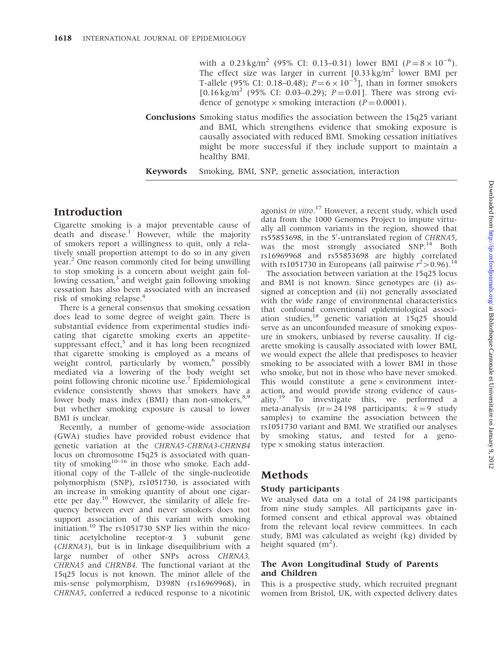with a 0.23 kg/m<sup>2</sup> (95% CI: 0.13–0.31) lower BMI ( $P = 8 \times 10^{-6}$ ). The effect size was larger in current  $[0.33 \text{ kg/m}^2$  lower BMI per T-allele (95% CI: 0.18–0.48);  $P = 6 \times 10^{-5}$ ], than in former smokers [0.16 kg/m<sup>2</sup> (95% CI: 0.03–0.29);  $P = 0.01$ ]. There was strong evidence of genotype  $\times$  smoking interaction (P = 0.0001).

Conclusions Smoking status modifies the association between the 15q25 variant and BMI, which strengthens evidence that smoking exposure is causally associated with reduced BMI. Smoking cessation initiatives might be more successful if they include support to maintain a healthy BMI.

Keywords Smoking, BMI, SNP, genetic association, interaction

# Introduction

Cigarette smoking is a major preventable cause of death and disease.<sup>1</sup> However, while the majority of smokers report a willingness to quit, only a relatively small proportion attempt to do so in any given year.<sup>2</sup> One reason commonly cited for being unwilling to stop smoking is a concern about weight gain following cessation, $3$  and weight gain following smoking cessation has also been associated with an increased risk of smoking relapse.<sup>4</sup>

There is a general consensus that smoking cessation does lead to some degree of weight gain. There is substantial evidence from experimental studies indicating that cigarette smoking exerts an appetitesuppressant effect, $5$  and it has long been recognized that cigarette smoking is employed as a means of weight control, particularly by women,<sup>6</sup> possibly mediated via a lowering of the body weight set point following chronic nicotine use.<sup>7</sup> Epidemiological evidence consistently shows that smokers have a lower body mass index (BMI) than non-smokers,<sup>8,9</sup> but whether smoking exposure is causal to lower BMI is unclear.

Recently, a number of genome-wide association (GWA) studies have provided robust evidence that genetic variation at the CHRNA5-CHRNA3-CHRNB4 locus on chromosome 15q25 is associated with quantity of smoking $10-16$  in those who smoke. Each additional copy of the T-allele of the single-nucleotide polymorphism (SNP), rs1051730, is associated with an increase in smoking quantity of about one cigarette per day.<sup>10</sup> However, the similarity of allele frequency between ever and never smokers does not support association of this variant with smoking initiation.<sup>10</sup> The rs1051730 SNP lies within the nicotinic acetylcholine receptor-a 3 subunit gene (CHRNA3), but is in linkage disequilibrium with a large number of other SNPs across CHRNA3, CHRNA5 and CHRNB4. The functional variant at the 15q25 locus is not known. The minor allele of the mis-sense polymorphism, D398N (rs16969968), in CHRNA5, conferred a reduced response to a nicotinic

agonist in vitro.<sup>17</sup> However, a recent study, which used data from the 1000 Genomes Project to impute virtually all common variants in the region, showed that rs55853698, in the 5'-untranslated region of CHRNA5, was the most strongly associated SNP.<sup>14</sup> Both rs16969968 and rs55853698 are highly correlated with rs1051730 in Europeans (all pairwise  $r^2 > 0.96$ ).<sup>14</sup>

The association between variation at the 15q25 locus and BMI is not known. Since genotypes are (i) assigned at conception and (ii) not generally associated with the wide range of environmental characteristics that confound conventional epidemiological association studies, $18$  genetic variation at 15q25 should serve as an unconfounded measure of smoking exposure in smokers, unbiased by reverse causality. If cigarette smoking is causally associated with lower BMI, we would expect the allele that predisposes to heavier smoking to be associated with a lower BMI in those who smoke, but not in those who have never smoked. This would constitute a gene  $\times$  environment interaction, and would provide strong evidence of causality.<sup>19</sup> To investigate this, we performed a meta-analysis  $(n = 24198 \text{ participants}; k = 9 \text{ study})$ samples) to examine the association between the rs1051730 variant and BMI. We stratified our analyses by smoking status, and tested for a geno $type \times$  smoking status interaction.

# Methods

### Study participants

We analysed data on a total of 24 198 participants from nine study samples. All participants gave informed consent and ethical approval was obtained from the relevant local review committees. In each study, BMI was calculated as weight (kg) divided by height squared  $(m^2)$ .

## The Avon Longitudinal Study of Parents and Children

This is a prospective study, which recruited pregnant women from Bristol, UK, with expected delivery dates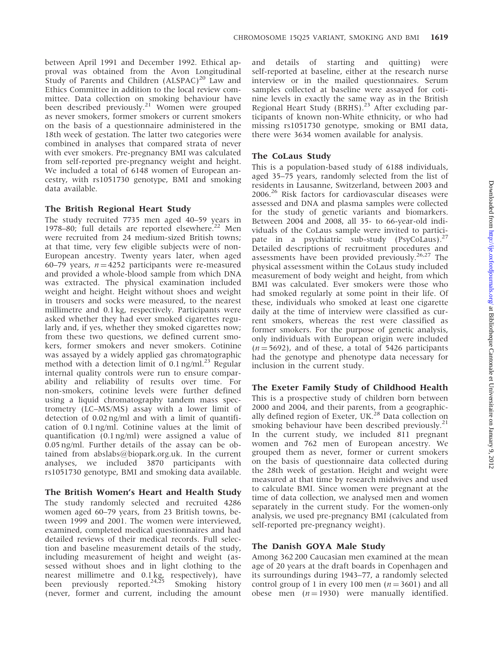between April 1991 and December 1992. Ethical approval was obtained from the Avon Longitudinal Study of Parents and Children  $(ALSPAC)^{20}$  Law and Ethics Committee in addition to the local review committee. Data collection on smoking behaviour have been described previously.<sup>21</sup> Women were grouped as never smokers, former smokers or current smokers on the basis of a questionnaire administered in the 18th week of gestation. The latter two categories were combined in analyses that compared strata of never with ever smokers. Pre-pregnancy BMI was calculated from self-reported pre-pregnancy weight and height. We included a total of 6148 women of European ancestry, with rs1051730 genotype, BMI and smoking data available.

#### The British Regional Heart Study

The study recruited 7735 men aged 40–59 years in 1978–80; full details are reported elsewhere.<sup>22</sup> Men were recruited from 24 medium-sized British towns; at that time, very few eligible subjects were of non-European ancestry. Twenty years later, when aged 60–79 years,  $n = 4252$  participants were re-measured and provided a whole-blood sample from which DNA was extracted. The physical examination included weight and height. Height without shoes and weight in trousers and socks were measured, to the nearest millimetre and 0.1 kg, respectively. Participants were asked whether they had ever smoked cigarettes regularly and, if yes, whether they smoked cigarettes now; from these two questions, we defined current smokers, former smokers and never smokers. Cotinine was assayed by a widely applied gas chromatographic method with a detection limit of  $0.1$  ng/ml.<sup>23</sup> Regular internal quality controls were run to ensure comparability and reliability of results over time. For non-smokers, cotinine levels were further defined using a liquid chromatography tandem mass spectrometry (LC–MS/MS) assay with a lower limit of detection of 0.02 ng/ml and with a limit of quantification of 0.1 ng/ml. Cotinine values at the limit of quantification (0.1 ng/ml) were assigned a value of 0.05 ng/ml. Further details of the assay can be obtained from abslabs@biopark.org.uk. In the current analyses, we included 3870 participants with rs1051730 genotype, BMI and smoking data available.

#### The British Women's Heart and Health Study

The study randomly selected and recruited 4286 women aged 60–79 years, from 23 British towns, between 1999 and 2001. The women were interviewed, examined, completed medical questionnaires and had detailed reviews of their medical records. Full selection and baseline measurement details of the study, including measurement of height and weight (assessed without shoes and in light clothing to the nearest millimetre and 0.1 kg, respectively), have been previously reported.<sup>24,25</sup> Smoking history (never, former and current, including the amount

and details of starting and quitting) were self-reported at baseline, either at the research nurse interview or in the mailed questionnaires. Serum samples collected at baseline were assayed for cotinine levels in exactly the same way as in the British Regional Heart Study (BRHS).<sup>23</sup> After excluding participants of known non-White ethnicity, or who had missing rs1051730 genotype, smoking or BMI data, there were 3634 women available for analysis.

#### The CoLaus Study

This is a population-based study of 6188 individuals, aged 35–75 years, randomly selected from the list of residents in Lausanne, Switzerland, between 2003 and 2006.26 Risk factors for cardiovascular diseases were assessed and DNA and plasma samples were collected for the study of genetic variants and biomarkers. Between 2004 and 2008, all 35- to 66-year-old individuals of the CoLaus sample were invited to participate in a psychiatric sub-study (PsyCoLaus).<sup>27</sup> Detailed descriptions of recruitment procedures and assessments have been provided previously.<sup>26,27</sup> The physical assessment within the CoLaus study included measurement of body weight and height, from which BMI was calculated. Ever smokers were those who had smoked regularly at some point in their life. Of these, individuals who smoked at least one cigarette daily at the time of interview were classified as current smokers, whereas the rest were classified as former smokers. For the purpose of genetic analysis, only individuals with European origin were included  $(n = 5692)$ , and of these, a total of 5426 participants had the genotype and phenotype data necessary for inclusion in the current study.

#### The Exeter Family Study of Childhood Health

This is a prospective study of children born between 2000 and 2004, and their parents, from a geographically defined region of Exeter, UK.<sup>28</sup> Data collection on smoking behaviour have been described previously.<sup>21</sup> In the current study, we included 811 pregnant women and 762 men of European ancestry. We grouped them as never, former or current smokers on the basis of questionnaire data collected during the 28th week of gestation. Height and weight were measured at that time by research midwives and used to calculate BMI. Since women were pregnant at the time of data collection, we analysed men and women separately in the current study. For the women-only analysis, we used pre-pregnancy BMI (calculated from self-reported pre-pregnancy weight).

### The Danish GOYA Male Study

Among 362 200 Caucasian men examined at the mean age of 20 years at the draft boards in Copenhagen and its surroundings during 1943–77, a randomly selected control group of 1 in every 100 men ( $n = 3601$ ) and all obese men  $(n = 1930)$  were manually identified.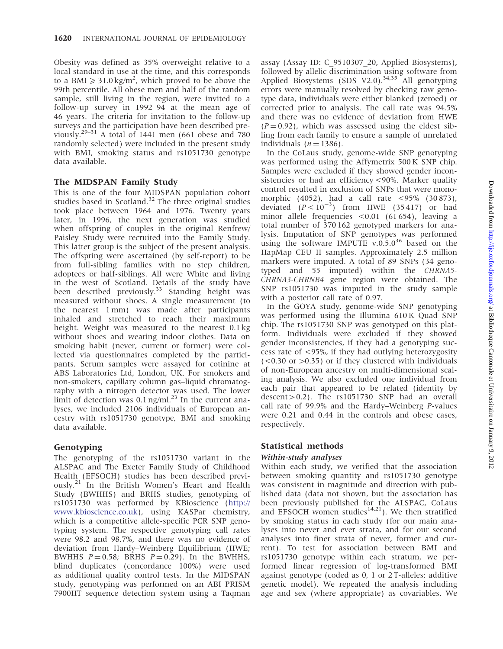Obesity was defined as 35% overweight relative to a local standard in use at the time, and this corresponds to a BMI  $\geq 31.0 \text{ kg/m}^2$ , which proved to be above the 99th percentile. All obese men and half of the random sample, still living in the region, were invited to a follow-up survey in 1992–94 at the mean age of 46 years. The criteria for invitation to the follow-up surveys and the participation have been described previously.<sup>29–31</sup> A total of 1441 men (661 obese and  $\overline{780}$ randomly selected) were included in the present study with BMI, smoking status and rs1051730 genotype data available.

## The MIDSPAN Family Study

This is one of the four MIDSPAN population cohort studies based in Scotland.<sup>32</sup> The three original studies took place between 1964 and 1976. Twenty years later, in 1996, the next generation was studied when offspring of couples in the original Renfrew/ Paisley Study were recruited into the Family Study. This latter group is the subject of the present analysis. The offspring were ascertained (by self-report) to be from full-sibling families with no step children, adoptees or half-siblings. All were White and living in the west of Scotland. Details of the study have been described previously.<sup>33</sup> Standing height was measured without shoes. A single measurement (to the nearest 1 mm) was made after participants inhaled and stretched to reach their maximum height. Weight was measured to the nearest 0.1 kg without shoes and wearing indoor clothes. Data on smoking habit (never, current or former) were collected via questionnaires completed by the participants. Serum samples were assayed for cotinine at ABS Laboratories Ltd, London, UK. For smokers and non-smokers, capillary column gas–liquid chromatography with a nitrogen detector was used. The lower limit of detection was  $0.1$  ng/ml.<sup>23</sup> In the current analyses, we included 2106 individuals of European ancestry with rs1051730 genotype, BMI and smoking data available.

## Genotyping

The genotyping of the rs1051730 variant in the ALSPAC and The Exeter Family Study of Childhood Health (EFSOCH) studies has been described previously.<sup>21</sup> In the British Women's Heart and Health Study (BWHHS) and BRHS studies, genotyping of rs1051730 was performed by KBioscience [\(http://](http://www.kbioscience.co.uk) [www.kbioscience.co.uk\)](http://www.kbioscience.co.uk), using KASPar chemistry, which is a competitive allele-specific PCR SNP genotyping system. The respective genotyping call rates were 98.2 and 98.7%, and there was no evidence of deviation from Hardy–Weinberg Equilibrium (HWE; BWHHS  $P = 0.58$ ; BRHS  $P = 0.29$ ). In the BWHHS, blind duplicates (concordance 100%) were used as additional quality control tests. In the MIDSPAN study, genotyping was performed on an ABI PRISM 7900HT sequence detection system using a Taqman

assay (Assay ID: C\_9510307\_20, Applied Biosystems), followed by allelic discrimination using software from Applied Biosystems (SDS V2.0).<sup>34,35</sup> All genotyping errors were manually resolved by checking raw genotype data, individuals were either blanked (zeroed) or corrected prior to analysis. The call rate was 94.5% and there was no evidence of deviation from HWE  $(P = 0.92)$ , which was assessed using the eldest sibling from each family to ensure a sample of unrelated individuals  $(n = 1386)$ .

In the CoLaus study, genome-wide SNP genotyping was performed using the Affymetrix 500 K SNP chip. Samples were excluded if they showed gender inconsistencies or had an efficiency <90%. Marker quality control resulted in exclusion of SNPs that were monomorphic (4052), had a call rate <95% (30 873), deviated  $(P < 10^{-3})$  from HWE (35417) or had minor allele frequencies <0.01 (61 654), leaving a total number of 370 162 genotyped markers for analysis. Imputation of SNP genotypes was performed using the software IMPUTE v.0.5.0<sup>36</sup> based on the HapMap CEU II samples. Approximately 2.5 million markers were imputed. A total of 89 SNPs (34 genotyped and 55 imputed) within the CHRNA5- CHRNA3-CHRNB4 gene region were obtained. The SNP rs1051730 was imputed in the study sample with a posterior call rate of 0.97.

In the GOYA study, genome-wide SNP genotyping was performed using the Illumina 610 K Quad SNP chip. The rs1051730 SNP was genotyped on this platform. Individuals were excluded if they showed gender inconsistencies, if they had a genotyping success rate of <95%, if they had outlying heterozygosity  $(<0.30$  or  $>0.35$ ) or if they clustered with individuals of non-European ancestry on multi-dimensional scaling analysis. We also excluded one individual from each pair that appeared to be related (identity by  $descent > 0.2$ ). The rs1051730 SNP had an overall call rate of 99.9% and the Hardy–Weinberg P-values were 0.21 and 0.44 in the controls and obese cases, respectively.

# Statistical methods

## Within-study analyses

Within each study, we verified that the association between smoking quantity and rs1051730 genotype was consistent in magnitude and direction with published data (data not shown, but the association has been previously published for the ALSPAC, CoLaus and EFSOCH women studies<sup>14,21</sup>). We then stratified by smoking status in each study (for our main analyses into never and ever strata, and for our second analyses into finer strata of never, former and current). To test for association between BMI and rs1051730 genotype within each stratum, we performed linear regression of log-transformed BMI against genotype (coded as 0, 1 or 2 T-alleles; additive genetic model). We repeated the analysis including age and sex (where appropriate) as covariables. We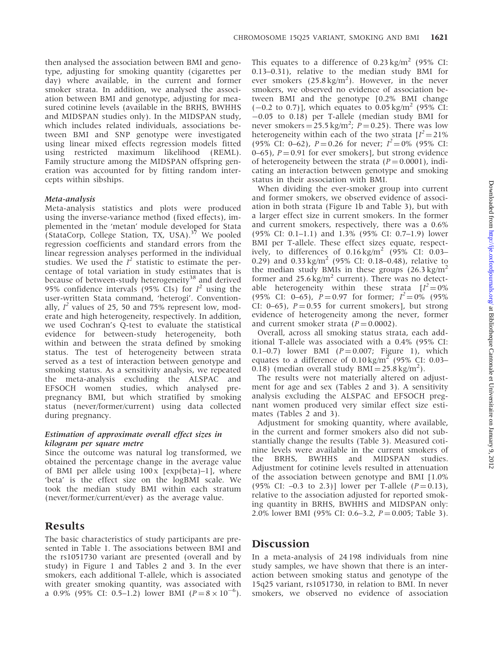then analysed the association between BMI and genotype, adjusting for smoking quantity (cigarettes per day) where available, in the current and former smoker strata. In addition, we analysed the association between BMI and genotype, adjusting for measured cotinine levels (available in the BRHS, BWHHS and MIDSPAN studies only). In the MIDSPAN study, which includes related individuals, associations between BMI and SNP genotype were investigated using linear mixed effects regression models fitted using restricted maximum likelihood (REML). Family structure among the MIDSPAN offspring generation was accounted for by fitting random intercepts within sibships.

#### Meta-analysis

Meta-analysis statistics and plots were produced using the inverse-variance method (fixed effects), implemented in the 'metan' module developed for Stata (StataCorp, College Station, TX, USA).<sup>37</sup> We pooled regression coefficients and standard errors from the linear regression analyses performed in the individual studies. We used the  $I^2$  statistic to estimate the percentage of total variation in study estimates that is because of between-study heterogeneity<sup>38</sup> and derived 95% confidence intervals (95% CIs) for  $I^2$  using the user-written Stata command, 'heterogi'. Conventionally,  $I^2$  values of 25, 50 and 75% represent low, moderate and high heterogeneity, respectively. In addition, we used Cochran's Q-test to evaluate the statistical evidence for between-study heterogeneity, both within and between the strata defined by smoking status. The test of heterogeneity between strata served as a test of interaction between genotype and smoking status. As a sensitivity analysis, we repeated the meta-analysis excluding the ALSPAC and EFSOCH women studies, which analysed prepregnancy BMI, but which stratified by smoking status (never/former/current) using data collected during pregnancy.

#### Estimation of approximate overall effect sizes in kilogram per square metre

Since the outcome was natural log transformed, we obtained the percentage change in the average value of BMI per allele using  $100 \times$  [exp(beta)–1], where 'beta' is the effect size on the logBMI scale. We took the median study BMI within each stratum (never/former/current/ever) as the average value.

# Results

The basic characteristics of study participants are presented in Table 1. The associations between BMI and the rs1051730 variant are presented (overall and by study) in Figure 1 and Tables 2 and 3. In the ever smokers, each additional T-allele, which is associated with greater smoking quantity, was associated with a 0.9% (95% CI: 0.5–1.2) lower BMI ( $P = 8 \times 10^{-6}$ ).

This equates to a difference of  $0.23 \text{ kg/m}^2$  (95% CI: 0.13–0.31), relative to the median study BMI for ever smokers  $(25.8 \text{ kg/m}^2)$ . However, in the never smokers, we observed no evidence of association between BMI and the genotype [0.2% BMI change  $(-0.2 \text{ to } 0.7)$ ], which equates to 0.05 kg/m<sup>2</sup> (95% CI:  $-0.05$  to 0.18) per T-allele (median study BMI for never smokers  $= 25.5 \text{ kg/m}^2$ ;  $P = 0.25$ ). There was low heterogeneity within each of the two strata  $[I^2 = 21\%$ (95% CI: 0–62),  $P = 0.26$  for never;  $I^2 = 0\%$  (95% CI:  $(0-65)$ ,  $P = 0.91$  for ever smokers], but strong evidence of heterogeneity between the strata ( $P = 0.0001$ ), indicating an interaction between genotype and smoking status in their association with BMI.

When dividing the ever-smoker group into current and former smokers, we observed evidence of association in both strata (Figure 1b and Table 3), but with a larger effect size in current smokers. In the former and current smokers, respectively, there was a 0.6% (95% CI: 0.1–1.1) and 1.3% (95% CI: 0.7–1.9) lower BMI per T-allele. These effect sizes equate, respectively, to differences of  $0.16 \text{ kg/m}^2$  (95% CI: 0.03– 0.29) and  $0.33 \text{ kg/m}^2$  (95% CI: 0.18–0.48), relative to the median study BMIs in these groups  $(26.3 \text{ kg/m}^2)$ former and  $25.6 \text{ kg/m}^2$  current). There was no detectable heterogeneity within these strata  $[I^2=0\%]$ (95% CI: 0–65),  $\vec{P} = 0.97$  for former;  $I^2 = 0\%$  (95%) CI: 0–65),  $P = 0.55$  for current smokers], but strong evidence of heterogeneity among the never, former and current smoker strata  $(P = 0.0002)$ .

Overall, across all smoking status strata, each additional T-allele was associated with a 0.4% (95% CI: 0.1–0.7) lower BMI  $(P = 0.007;$  Figure 1), which equates to a difference of  $0.10 \text{ kg/m}^2$  (95% CI: 0.03– 0.18) (median overall study  $BMI = 25.8 \text{ kg/m}^2$ ).

The results were not materially altered on adjustment for age and sex (Tables 2 and 3). A sensitivity analysis excluding the ALSPAC and EFSOCH pregnant women produced very similar effect size estimates (Tables 2 and 3).

Adjustment for smoking quantity, where available, in the current and former smokers also did not substantially change the results (Table 3). Measured cotinine levels were available in the current smokers of the BRHS, BWHHS and MIDSPAN studies. Adjustment for cotinine levels resulted in attenuation of the association between genotype and BMI [1.0% (95% CI:  $-0.3$  to 2.3)] lower per T-allele ( $P = 0.13$ ), relative to the association adjusted for reported smoking quantity in BRHS, BWHHS and MIDSPAN only: 2.0% lower BMI (95% CI: 0.6–3.2,  $P = 0.005$ ; Table 3).

# **Discussion**

In a meta-analysis of 24 198 individuals from nine study samples, we have shown that there is an interaction between smoking status and genotype of the 15q25 variant, rs1051730, in relation to BMI. In never smokers, we observed no evidence of association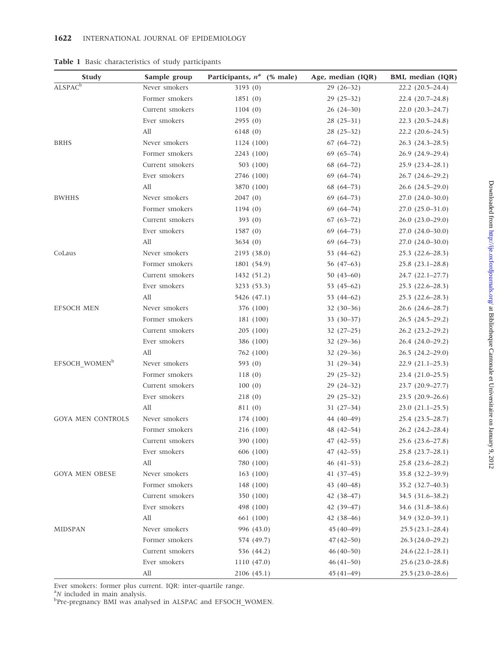| <b>Study</b>               | Sample group        | Participants, $n^a$ (% male) | Age, median (IQR) | BMI, median (IQR)      |
|----------------------------|---------------------|------------------------------|-------------------|------------------------|
| <b>ALSPAC</b> <sup>b</sup> | Never smokers       | 3193(0)                      | $29(26-32)$       | $22.2$ $(20.5-24.4)$   |
|                            | Former smokers      | 1851(0)                      | $29(25-32)$       | $22.4(20.7-24.8)$      |
|                            | Current smokers     | 1104(0)                      | $26(24-30)$       | $22.0(20.3-24.7)$      |
|                            | Ever smokers        | 2955(0)                      | $28(25-31)$       | $22.3$ $(20.5-24.8)$   |
|                            | All                 | 6148(0)                      | $28(25-32)$       | $22.2$ $(20.6-24.5)$   |
| <b>BRHS</b>                | Never smokers       | 1124 (100)                   | $67(64-72)$       | $26.3$ $(24.3-28.5)$   |
|                            | Former smokers      | 2243 (100)                   | $69(65-74)$       | 26.9 (24.9–29.4)       |
|                            | Current smokers     | 503 (100)                    | $68(64-72)$       | $25.9(23.4-28.1)$      |
|                            | Ever smokers        | 2746 (100)                   | $69(64-74)$       | $26.7(24.6-29.2)$      |
|                            | All                 | 3870 (100)                   | $68(64-73)$       | $26.6$ $(24.5-29.0)$   |
| <b>BWHHS</b>               | Never smokers       | 2047(0)                      | $69(64-73)$       | 27.0 (24.0–30.0)       |
|                            | Former smokers      | 1194(0)                      | $69(64-74)$       | $27.0(25.0-31.0)$      |
|                            | Current smokers     | 393(0)                       | $67(63-72)$       | $26.0(23.0-29.0)$      |
|                            | Ever smokers        | 1587(0)                      | $69(64-73)$       | $27.0(24.0-30.0)$      |
|                            | All                 | 3634(0)                      | $69(64-73)$       | $27.0(24.0-30.0)$      |
| CoLaus                     | Never smokers       | 2193 (38.0)                  | 53 $(44-62)$      | $25.3$ $(22.6-28.3)$   |
|                            | Former smokers      | 1801 (54.9)                  | 56 $(47-63)$      | $25.8$ $(23.1 - 28.8)$ |
|                            | Current smokers     | 1432 (51.2)                  | $50(43-60)$       | $24.7(22.1-27.7)$      |
|                            | Ever smokers        | 3233 (53.3)                  | 53 $(45-62)$      | $25.3$ $(22.6-28.3)$   |
|                            | All                 | 5426 (47.1)                  | 53 (44–62)        | $25.3$ $(22.6-28.3)$   |
| <b>EFSOCH MEN</b>          | Never smokers       | 376 (100)                    | $32(30-36)$       | 26.6 (24.6–28.7)       |
|                            | Former smokers      | 181 (100)                    | $33(30-37)$       | $26.5(24.5-29.2)$      |
|                            | Current smokers     | 205(100)                     | $32(27-25)$       | $26.2$ $(23.2-29.2)$   |
|                            | Ever smokers        | 386 (100)                    | $32(29-36)$       | $26.4(24.0-29.2)$      |
|                            | All                 | 762 (100)                    | $32(29-36)$       | $26.5(24.2-29.0)$      |
| EFSOCH WOMEN <sup>b</sup>  | Never smokers       | 593 (0)                      | $31(29-34)$       | $22.9(21.1-25.3)$      |
|                            | Former smokers      | 118(0)                       | $29(25-32)$       | $23.4(21.0-25.5)$      |
|                            | Current smokers     | 100(0)                       | $29(24-32)$       | 23.7 (20.9-27.7)       |
|                            | Ever smokers        | 218(0)                       | $29(25-32)$       | $23.5(20.9-26.6)$      |
|                            | All                 | 811 (0)                      | $31(27-34)$       | $23.0(21.1-25.5)$      |
| <b>GOYA MEN CONTROLS</b>   | Never smokers       | 174 (100)                    | 44 (40-49)        | 25.4 (23.5-28.7)       |
|                            | Former smokers      | 216 (100)                    | 48 (42-54)        | $26.2$ $(24.2 - 28.4)$ |
|                            | Current smokers     | 390 (100)                    | $47(42-55)$       | 25.6 (23.6-27.8)       |
|                            | Ever smokers        | 606 (100)                    | $47(42 - 55)$     | $25.8$ $(23.7-28.1)$   |
|                            | All                 | 780 (100)                    | $46(41-53)$       | $25.8$ $(23.6 - 28.2)$ |
| <b>GOYA MEN OBESE</b>      | Never smokers       | 163(100)                     | $41(37-45)$       | 35.8 (32.2-39.9)       |
|                            | Former smokers      | 148 (100)                    | 43 (40-48)        | 35.2 (32.7-40.3)       |
|                            | Current smokers     | 350 (100)                    | $42(38-47)$       | 34.5 (31.6–38.2)       |
|                            | Ever smokers        | 498 (100)                    | 42 (39-47)        | 34.6 (31.8–38.6)       |
|                            | All                 | 661 (100)                    | $42(38-46)$       | 34.9 (32.0-39.1)       |
| <b>MIDSPAN</b>             | Never smokers       | 996 (43.0)                   | $45(40-49)$       | $25.5(23.1 - 28.4)$    |
|                            | Former smokers      | 574 (49.7)                   | $47(42 - 50)$     | $26.3(24.0-29.2)$      |
|                            | Current smokers     | 536 (44.2)                   | $46(40-50)$       |                        |
|                            |                     |                              |                   | $24.6(22.1-28.1)$      |
|                            | Ever smokers<br>All | 1110 (47.0)                  | $46(41-50)$       | $25.6(23.0-28.8)$      |
|                            |                     | 2106 (45.1)                  | $45(41-49)$       | $25.5(23.0-28.6)$      |

Table 1 Basic characteristics of study participants

Ever smokers: former plus current. IQR: inter-quartile range.

and in main analysis.<br>
between the SPAC and EFSOCH\_WOMEN.<br>
Between the MI was analysed in ALSPAC and EFSOCH\_WOMEN.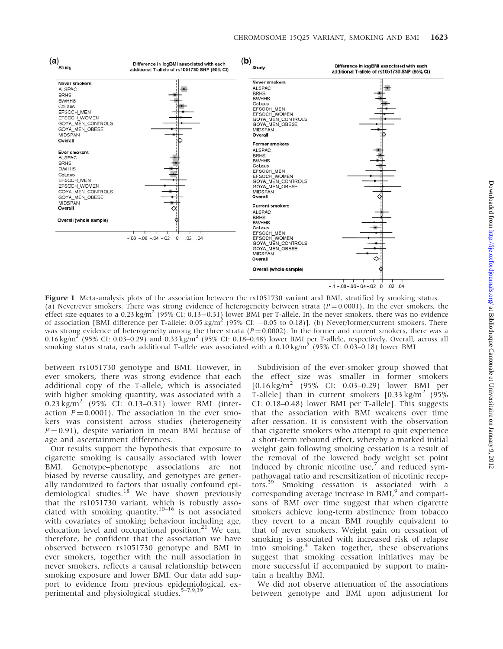

Figure 1 Meta-analysis plots of the association between the rs1051730 variant and BMI, stratified by smoking status. (a) Never/ever smokers. There was strong evidence of heterogeneity between strata ( $P=0.0001$ ). In the ever smokers, the effect size equates to a 0.23 kg/m<sup>2</sup> (95% CI: 0.13–0.31) lower BMI per T-allele. In the never smokers, there was no evidence of association [BMI difference per T-allele:  $0.05 \text{ kg/m}^2$  (95% CI:  $-0.05$  to 0.18)]. (b) Never/former/current smokers. There was strong evidence of heterogeneity among the three strata ( $P = 0.0002$ ). In the former and current smokers, there was a 0.16 kg/m<sup>2</sup> (95% CI: 0.03–0.29) and 0.33 kg/m<sup>2</sup> (95% CI: 0.18–0.48) lower BMI per T-allele, respectively. Overall, across all smoking status strata, each additional T-allele was associated with a  $0.10 \text{ kg/m}^2$  (95% CI: 0.03–0.18) lower BMI

between rs1051730 genotype and BMI. However, in ever smokers, there was strong evidence that each additional copy of the T-allele, which is associated with higher smoking quantity, was associated with a  $0.23 \text{ kg/m}^2$  (95% CI: 0.13–0.31) lower BMI (interaction  $P = 0.0001$ ). The association in the ever smokers was consistent across studies (heterogeneity  $P = 0.91$ ), despite variation in mean BMI because of age and ascertainment differences.

Our results support the hypothesis that exposure to cigarette smoking is causally associated with lower BMI. Genotype–phenotype associations are not biased by reverse causality, and genotypes are generally randomized to factors that usually confound epidemiological studies.<sup>18</sup> We have shown previously that the rs1051730 variant, which is robustly associated with smoking quantity, $10-16$  is not associated with covariates of smoking behaviour including age, education level and occupational position. $21$  We can, therefore, be confident that the association we have observed between rs1051730 genotype and BMI in ever smokers, together with the null association in never smokers, reflects a causal relationship between smoking exposure and lower BMI. Our data add support to evidence from previous epidemiological, experimental and physiological studies.<sup>5-7,9,39</sup>

Subdivision of the ever-smoker group showed that the effect size was smaller in former smokers  $[0.16 \text{ kg/m}^2 \quad (95\% \quad \text{CI:} \quad 0.03-0.29) \quad \text{lower} \quad \text{BMI} \quad \text{per}$ T-allele] than in current smokers  $[0.33 \text{ kg/m}^2]$  (95%) CI: 0.18–0.48) lower BMI per T-allele]. This suggests that the association with BMI weakens over time after cessation. It is consistent with the observation that cigarette smokers who attempt to quit experience a short-term rebound effect, whereby a marked initial weight gain following smoking cessation is a result of the removal of the lowered body weight set point induced by chronic nicotine use, $<sup>7</sup>$  and reduced sym-</sup> pathovagal ratio and resensitization of nicotinic receptors.<sup>39</sup> Smoking cessation is associated with a corresponding average increase in  $BML$ <sup>9</sup> and comparisons of BMI over time suggest that when cigarette smokers achieve long-term abstinence from tobacco they revert to a mean BMI roughly equivalent to that of never smokers. Weight gain on cessation of smoking is associated with increased risk of relapse into smoking.<sup>4</sup> Taken together, these observations suggest that smoking cessation initiatives may be more successful if accompanied by support to maintain a healthy BMI.

We did not observe attenuation of the associations between genotype and BMI upon adjustment for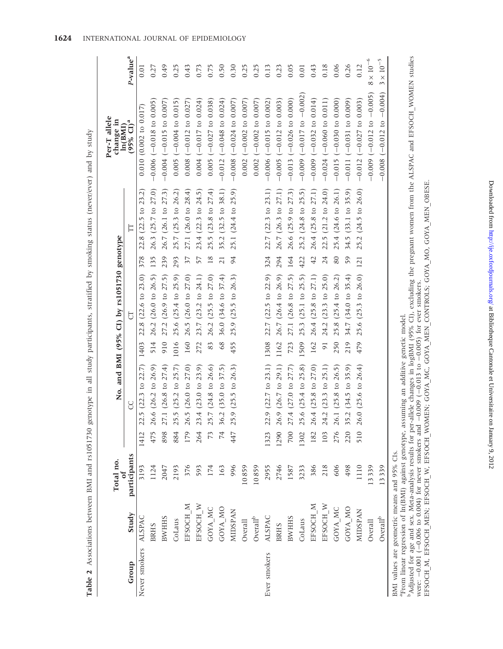| j                                                                                                                                                     |
|-------------------------------------------------------------------------------------------------------------------------------------------------------|
|                                                                                                                                                       |
| I<br>$\overline{\phantom{a}}$<br>i<br>Alberta<br>J<br>こうきょうく とこうこうしゃ ちゃ しゃしん ちゃくしゃかん<br>í<br>$T \cap T \cap T \neq \emptyset$<br>$\ddot{\phantom{0}}$ |

|                     |                                                                                                                                                                                                                                | I |
|---------------------|--------------------------------------------------------------------------------------------------------------------------------------------------------------------------------------------------------------------------------|---|
|                     |                                                                                                                                                                                                                                | I |
|                     |                                                                                                                                                                                                                                | I |
|                     |                                                                                                                                                                                                                                |   |
|                     | EFSOCH M, EFSOCH MEN: EFSOCH W. EFSOCH WOMEN. GOVA MO GOVA MEN CONTROLS AND ACCESS AND CONTROLS OF THE CONTROL OF THE CONTROL OF THE CONTROL OF THE CONTROL OF THE CONTROL OF THE CONTROL OF THE CONTROL OF THE CONTROL OF THE |   |
|                     |                                                                                                                                                                                                                                | I |
|                     |                                                                                                                                                                                                                                | I |
|                     |                                                                                                                                                                                                                                | I |
|                     |                                                                                                                                                                                                                                |   |
| $\frac{1}{2}$       |                                                                                                                                                                                                                                |   |
| TO CTNUMBER TANTITE | ここここ                                                                                                                                                                                                                           | I |
|                     |                                                                                                                                                                                                                                | I |
|                     |                                                                                                                                                                                                                                |   |
|                     |                                                                                                                                                                                                                                |   |
|                     |                                                                                                                                                                                                                                | I |
|                     |                                                                                                                                                                                                                                | I |
| ;≀<br>>             |                                                                                                                                                                                                                                |   |

| Adjusted for age and sex. Meta-analysis results for per-ance changes in logism (2020), excluding the pregnant women from the ALSPA and<br>; EFSOCH W, EFSOCH WOMEN, GOYA MEN CONTROLS; GOYA MO, GOYA MEN OBESE.<br>004) for never smokers and $-0.09$ ( $-0.013$ to $-0.005$ ) for ever smokers.<br>$\overline{a}$<br>l<br>$\begin{array}{c} \n\end{array}$ |
|-------------------------------------------------------------------------------------------------------------------------------------------------------------------------------------------------------------------------------------------------------------------------------------------------------------------------------------------------------------|
| n nn 1 n nn 4 + 4 n n<br>were: -0.001 (-0.006 to 0.00<br>EFSOCH M. EFSOCH MEN;<br>ļ                                                                                                                                                                                                                                                                         |

 $\mbox{Overall}^{\mbox{\tiny{\rm {b}}} }$ Overall

| BMI values are geometric means and 95% CIs.                                                                                                                      |
|------------------------------------------------------------------------------------------------------------------------------------------------------------------|
| From linear regression of ln(BMI) against genotype, assuming an additive genetic model.                                                                          |
| Adjusted for age and sex. Meta-analysis results for per-allele changes in logBMI (95% CI), excluding the pregnant women from the ALSPAC and EFSOCH WOMEN studies |
| were: $-0.001$ ( $-0.006$ to $0.004$ ) for never smokers and $-0.009$ ( $-0.013$ to $-0.005$ ) for ever smokers.                                                 |
| <b>FORCO ARAN ANGEL CAR ANGEL CARGEROU ARAN ANGEL CAR ANGEL ANGEL ANGEL AN ANGELA ARAN ANGELA ARANGEL ARANGEL ANG</b>                                            |

MIDSPAN 1110 510 26.0 (25.6 to 26.4) 479 25.6 (25.3 to 26.0) 121 25.2 (24.5 to 26.0) -0.012 (-0.027 to 0.003) 0.12 Overall 13 339 0.000 (1 - 0.000 (1 - 0.000 (1 - 0.000 (1 - 0.000 ) 8 - 0.005) 8 - 0.000 (1 - 0.000 (1 - 0.000 (1 - 0.000 ) 8 - 0.000 (1 - 0.000 ) 8 - 0.000 (1 - 0.000 ) 8 - 0.000 (1 - 0.000 ) 9 - 0.000 (1 - 0.000 ) 9 - 0.0

13339 13339

 $\alpha$  13 339 0.012 to 0.004)  $\,$  13 339 0.012 to 0.008 (0.012 to 0.004) 3  $\times$ 

 $8\times10^{-6}$ 

 $-0.009$   $(-0.012$  to  $-0.005)$  $-0.008$   $(-0.012$  to  $-0.004)$ 

 $3\times10^{-5}$ 

| 1624 | INTERNATIONAL JOURNAL OF EPIDEMIOLOGY |  |  |
|------|---------------------------------------|--|--|
|      |                                       |  |  |

|                      |                |              |      |                         |                |                                            |                 | Table 2 Associations between BMI and rs1051730 genotype in all study participants, stratified by smoking status (never/ever) and by study |                                      |                      |
|----------------------|----------------|--------------|------|-------------------------|----------------|--------------------------------------------|-----------------|-------------------------------------------------------------------------------------------------------------------------------------------|--------------------------------------|----------------------|
|                      |                | Total no.    |      |                         |                | No. and BMI (95% CI) by rs1051730 genotype |                 |                                                                                                                                           | Per-T allele<br>change in<br>ln(BMI) |                      |
| Group                | Study          | participants |      | S                       |                | 5                                          |                 | Ë                                                                                                                                         | $(95\% \text{ CI})^a$                | P-value <sup>a</sup> |
| Never smokers ALSPAC |                | 3193         | 1412 | 22.5 (22.3 to 22.7)     | 1403           | 22.8 (22.6 to 23.0)                        | 378             | 22.8 (22.5 to 23.2)                                                                                                                       | $0.010$ (0.002 to 0.017)             | 0.01                 |
|                      | <b>BRHS</b>    | 1124         |      | 475 26.6 (26.2 to 26.9) | 514            | 26.2 (26.0 to 26.5)                        | 135             | 26.3 (25.7 to 27.0)                                                                                                                       | $-0.006$ ( $-0.018$ to 0.005)        | 0.27                 |
|                      | <b>BWHHS</b>   | 2047         | 898  | 27.1 (26.8 to 27.4)     | 910            | 27.2 (26.9 to 27.5)                        | 239             | 26.7 (26.1 to 27.3)                                                                                                                       | $-0.004$ ( $-0.015$ to 0.007)        | 0.49                 |
|                      | CoLaus         | 2193         | 884  | 25.5 (25.2 to 25.7)     | 1016           | 25.6 (25.4 to 25.9)                        | 293             | 25.7 (25.3 to 26.2)                                                                                                                       | $0.005$ (-0.004 to 0.015)            | 0.25                 |
|                      | EFSOCH M       | 376          | 179  | 26.5 (26.0 to 27.0)     | 160            | 26.5 (26.0 to 27.0)                        | 37              | 27.1 (26.0 to 28.4)                                                                                                                       | $0.008$ (-0.012 to 0.027)            | 0.43                 |
|                      | EFSOCH_W       | 593          | 264  | 23.4 (23.0 to 23.9)     | 272            | 23.7 (23.2 to 24.1)                        | 57              | 23.4 (22.3 to 24.5)                                                                                                                       | $0.004 (-0.017 to 0.024)$            | 0.73                 |
|                      | GOYA_MC        | 174          | 73   | 25.7 (24.8 to 26.6)     | 83             | 26.2 (25.5 to 27.0)                        | $\overline{18}$ | $25.5(23.8 \text{ to } 27.4)$                                                                                                             | $0.005$ ( $-0.027$ to $0.038$ )      | 0.75                 |
|                      | GOYA MO        | 163          | 74   | 36.2 (35.0 to 37.5)     | 68             | 36.0 (34.6 to 37.4)                        | $\overline{21}$ | 35.2 (32.5 to 38.1)                                                                                                                       | $-0.012$ ( $-0.048$ to 0.024)        | 0.50                 |
|                      | <b>MIDSPAN</b> | 996          | 447  | 25.9 (25.5 to 26.3)     | 455            | 25.9 (25.5 to 26.3)                        | 94              | 25.1 (24.4 to 25.9)                                                                                                                       | $-0.008$ ( $-0.024$ to 0.007)        | 0.30                 |
|                      | Overall        | 10859        |      |                         |                |                                            |                 |                                                                                                                                           | $0.002$ (-0.002 to 0.007)            | 0.25                 |
|                      | $Overall^b$    | 10859        |      |                         |                |                                            |                 |                                                                                                                                           | $0.002$ (-0.002 to 0.007)            | 0.25                 |
| Ever smokers         | ALSPAC         | 2955         | 1323 | 22.9 (22.7 to 23.1)     | 1308           | 22.7 (22.5 to 22.9)                        | 324             | 22.7 (22.3 to 23.1)                                                                                                                       | $-0.006$ ( $-0.015$ to 0.002)        | 0.13                 |
|                      | <b>BRHS</b>    | 2746         | 1290 | 26.9 (26.7 to 29.1)     | 1162           | 26.7 (26.4 to 26.9)                        | 294             | 26.7 (26.3 to 27.1)                                                                                                                       | $-0.005$ ( $-0.012$ to 0.003)        | 0.23                 |
|                      | <b>BWHHS</b>   | 1587         | 700  | 27.4 (27.0 to 27.7)     | 723            | 27.1 (26.8 to 27.5)                        | 164             | 26.6 (25.9 to 27.3)                                                                                                                       | $-0.013$ ( $-0.026$ to 0.000)        | 0.05                 |
|                      | CoLaus         | 3233         | 1302 | 25.6 (25.4 to 25.8)     | 1509           | 25.3 (25.1 to 25.5)                        | 422             | 25.2 (24.8 to 25.5)                                                                                                                       | $-0.009$ ( $-0.017$ to $-0.002$ )    | $0.01$               |
|                      | EFSOCH M       | 386          | 182  | 26.4 (25.8 to 27.0)     | 162            | 26.4 (25.8 to 27.1)                        | $\overline{42}$ | 26.4 (25.8 to 27.1)                                                                                                                       | $-0.009$ ( $-0.032$ to 0.014)        | 0.43                 |
|                      | EFSOCH_W       | 218          | 103  | 24.2 (23.3 to 25.1)     | $\overline{9}$ | 24.2 (23.3 to 25.0)                        | 24              | 22.5 (21.2 to 24.0)                                                                                                                       | $-0.024$ ( $-0.060$ to 0.011)        | 0.18                 |
|                      | GOYA MC        | 606          | 276  | 26.1 (25.8 to 26.5)     | 250            | 25.8 (25.4 to 26.2)                        | 80              | 25.4 (24.6 to 26.1)                                                                                                                       | $-0.015$ ( $-0.030$ to 0.000)        | 0.06                 |
|                      | GOYA MO        | 498          | 220  | 35.2 (34.5 to 35.9)     | 219            | 34.7 (34.0 to 35.4)                        | 59              | 34.5 (33.1 to 35.9)                                                                                                                       | $-0.011(-0.031 to 0.009)$            | 0.26                 |
|                      | <b>MIDSPAN</b> | 1110         | 510  | 26.0 (25.6 to 26.4)     | 479            | 25.6 (25.3 to 26.0)                        |                 | 121 25.2 (24.5 to 26.0)                                                                                                                   | $-0.012$ ( $-0.027$ to 0.003)        | 0.12                 |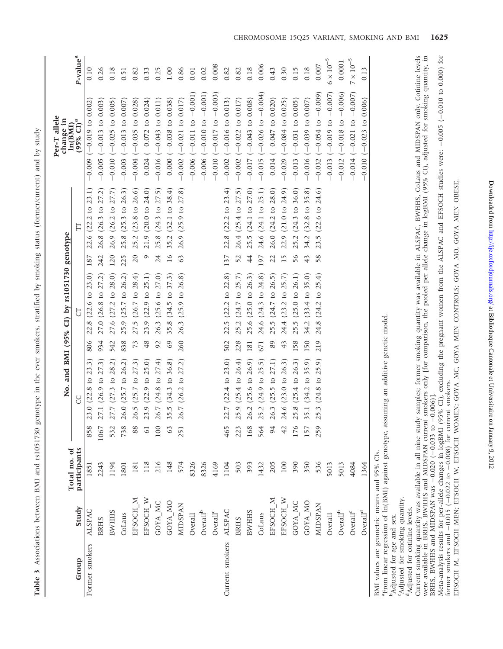Table 3 Associations between BMI and rs1051730 genotype in the ever smokers, stratified by smoking status (former/current) and by study Table 3 Associations between BMI and rs1051730 genotype in the ever smokers, stratified by smoking status (former/current) and by study

|                                             |                                           |                              |                 |                                                                                                      |               | No. and BMI (95% CI) by rs1051730 genotype |                 |                                   | Per-T allele<br>change in                 |                      |
|---------------------------------------------|-------------------------------------------|------------------------------|-----------------|------------------------------------------------------------------------------------------------------|---------------|--------------------------------------------|-----------------|-----------------------------------|-------------------------------------------|----------------------|
| Group                                       | Study                                     | Total no. of<br>participants |                 | C                                                                                                    |               | 5                                          |                 | H                                 | $(95\% \text{ CI})^{\text{a}}$<br>ln(BMI) | P-value <sup>a</sup> |
| Former smokers                              | ALSPAC                                    | 1851                         | 858             | 3.0 $(22.8 \text{ to } 23.3)$                                                                        | 806           | 22.8 (22.6 to 23.0)                        | 187             | 22.6 (22.2 to 23.1)               | $-0.009$ ( $-0.019$ to 0.002              | 0.10                 |
|                                             | <b>BRHS</b>                               | 2243                         | 1067            | 7.1 $(26.9 \text{ to } 27.3)$                                                                        | 934           | 27.0 (26.8 to 27.2)                        | 242             | 26.8 (26.3 to 27.2)               | $-0.005$ ( $-0.013$ to 0.003)             | 0.26                 |
|                                             | <b>BWHHS</b>                              | 1194                         | 532             | 7.7 $(27.3 \text{ to } 28.2)$                                                                        | 542           | 27.6 (27.2 to 28.0)                        | 120             | 26.9 (26.2 to 27.7)               | $-0.010$ ( $-0.025$ to 0.005)             | 0.18                 |
|                                             | CoLaus                                    | 1801                         | 738             | $26.0$ (25.7 to 26.2)                                                                                | 838           | 25.9 (25.7 to 26.2)                        | 225             | 25.8 (25.3 to 26.3)               | $-0.003$ ( $-0.013$ to 0.007)             | 0.51                 |
|                                             | EFSOCH M                                  | 181                          | 88              | (6.5 (25.7 to 27.3))                                                                                 | 73            | 27.5 (26.7 to 28.4)                        | 20              | 25.2 (23.8 to 26.6)               | $-0.004$ ( $-0.035$ to 0.028)             | 0.82                 |
|                                             | EFSOCH W                                  | 118                          | $\overline{61}$ | 23.9 (22.9 to 25.0)                                                                                  | 48            | 23.9 (22.9 to 25.1)                        | $\circ$         | 21.9 (20.0 to 24.0)               | $-0.024$ ( $-0.072$ to 0.024)             | 0.33                 |
|                                             | GOYA MC                                   | 216                          | 100             | (6.7 (24.8 to 27.4))                                                                                 | $\mathcal{S}$ | 26.3 (25.6 to 27.0)                        | 24              | 25.8 (24.3 to 27.5)               | $-0.016(-0.043$ to 0.011)                 | 0.25                 |
|                                             | GOYA_MO                                   | 148                          | 63              | 5.5 (34.3 to 36.8)                                                                                   | 69            | 35.8 (34.5 to 37.3)                        | $\overline{16}$ | 35.2 (32.1 to 38.4)               | $0.000 (-0.038 to 0.038)$                 | 1.00                 |
|                                             | <b>MIDSPAN</b>                            | 574                          | 251             | $(6.7 \ (26.2 \ to \ 27.2))$                                                                         | 260           | 26.3 (25.9 to 26.8)                        | 63              | 26.9 (25.9 to 27.8)               | $-0.002$ ( $-0.021$ to 0.017)             | 0.86                 |
|                                             | Overall                                   | 8326                         |                 |                                                                                                      |               |                                            |                 |                                   | $-0.006$ ( $-0.11$ to $-0.001$ )          | 0.01                 |
|                                             | $\mbox{Overall}^{\mbox{\tiny{\rm {b}}} }$ | 8326                         |                 |                                                                                                      |               |                                            |                 |                                   | $-0.006$ ( $-0.010$ to $-0.001$ )         | 0.02                 |
|                                             | Overall <sup>c</sup>                      | 4169                         |                 |                                                                                                      |               |                                            |                 |                                   | $-0.010$ $(-0.017$ to $-0.003)$           | 0.008                |
| Current smokers                             | <b>ALSPAC</b>                             | 1104                         | 465             | 22.7 (22.4 to 23.0)                                                                                  | 502           | 22.5 (22.2 to 22.8)                        | 137             | 22.8 (22.2 to 23.4)               | $-0.002$ ( $-0.016$ to 0.013)             | 0.82                 |
|                                             | <b>BRHS</b>                               | 503                          | 223             | 5.9 $(25.4 \text{ to } 26.4)$                                                                        | 228           | 25.2 (24.7 to 25.7)                        | 52              | 26.4 (25.4 to 27.5)               | $-0.002$ ( $-0.022$ to 0.017)             | 0.82                 |
|                                             | <b>BWHHS</b>                              | 393                          | 168             | $6.2$ (25.6 to 26.9)                                                                                 | 181           | 25.6 (25.0 to 26.3)                        | 4               | 25.5 (24.1 to 27.0)               | $-0.017$ ( $-0.043$ to 0.008)             | 0.18                 |
|                                             | CoLaus                                    | 1432                         | 564             | 5.2 (24.9 to 25.5)                                                                                   | 671           | 24.6 (24.3 to 24.8)                        | 197             | 24.6 (24.1 to 25.1)               | $-0.015$ ( $-0.026$ to $-0.004$ )         | 0.006                |
|                                             | EFSOCH M                                  | 205                          | 94              | 6.3 (25.5 to 27.1)                                                                                   | 89            | 25.5 (24.7 to 26.5)                        | 22              | 26.0 (24.2 to 28.0)               | $-0.014$ ( $-0.047$ to 0.020)             | 643                  |
|                                             | EFSOCH W                                  | 100                          | 42              | $24.6$ (23.0 to 26.3)                                                                                | 43            | 24.4 (23.2 to 25.7)                        | $\overline{15}$ | 22.9 (21.0 to 24.9)               | $-0.029$ ( $-0.084$ to 0.025)             | 0.30                 |
|                                             | GOYA MC                                   | 390                          | 176             | 5.8 (25.4 to 26.3)                                                                                   | 158           | 25.5 (25.0 to 26.1)                        | 56              | $(24.3 \text{ to } 36.0)$<br>25.2 | $-0.013$ ( $-0.031$ to 0.005)             | 0.15                 |
|                                             | GOYA MO                                   | 350                          | 157             | 5.1 (34.2 to 35.9)                                                                                   | 150           | 34.2 (33.4 to 35.0)                        | $\ddot{4}$      | 34.2 (32.8 to 35.8)               | $-0.016(-0.039$ to 0.007)                 | 0.18                 |
|                                             | <b>MIDSPAN</b>                            | 536                          | 259             | 5.3 (24.8 to 25.9)                                                                                   | 219           | $24.8$ (24.2 to 25.4)                      | 58              | $23.5$ (22.6 to 24.6)             | $(-0.054 \text{ to } -0.009)$<br>$-0.032$ | 0.007                |
|                                             | Overall                                   | 5013                         |                 |                                                                                                      |               |                                            |                 |                                   | $-0.013$ ( $-0.019$ to $-0.07$ )          | $6\times10^{-5}$     |
|                                             | $\mbox{Overall}^{\mbox{\tiny{\rm b}}}$    | 5013                         |                 |                                                                                                      |               |                                            |                 |                                   | $-0.012$ ( $-0.018$ to $-0.006$ )         | 0.0001               |
|                                             | Overall <sup>c</sup>                      | 4084                         |                 |                                                                                                      |               |                                            |                 |                                   | $-0.014 (-0.021 to -0.007)$               | $7\times10^{-5}$     |
|                                             | $\mbox{Overall}^{\mbox{\scriptsize d}}$   | 1364                         |                 |                                                                                                      |               |                                            |                 |                                   | $-0.010 (-0.023 to 0.006)$                | 0.13                 |
| BMI values are geometric means and 95% CIs. |                                           |                              |                 | <sup>a</sup> From linear regression of ln(BMI) against genotype, assuming an additive genetic model. |               |                                            |                 |                                   |                                           |                      |

bAdjusted for age and sex. Adjusted for age and sex.

'Adjusted for smoking quantity. cAdjusted for smoking quantity.

<sup>d</sup>Adjusted for cotinine levels. <sup>d</sup>Adjusted for cotinine levels.

Current smoking quantity was available in all nine study samples; former smoking quantity was available in ALSPAC, BWHHS, CoLaus and MIDSPAN only. Cotinine levels<br>were available in BRHS, BWHHS and MIDSPAN current smokers o were available in BRHS, BWHHS and MIDSPAN current smokers only [for comparison, the pooled per allele change in logBMI (95% CI), adjusted for smoking quantity, in Current smoking quantity was available in all nine study samples; former smoking quantity was available in ALSPAC, BWHHS, CoLaus and MIDSPAN only. Cotinine levels BRHS, BWHHS and MIDSPAN was  $-0.020$  ( $-0.033$  to  $-0.006$ )].

Meta-analysis results for per-allele changes in logBMI (95% CI), excluding the pregnant women from the ALSPAC and EFSOCH studies were: -0.005 (-0.010 to 0.000) for Meta-analysis results for per-allele changes in logBMI (95% CI), excluding the pregnant women from the ALSPAC and EFSOCH studies were: 0.005 (0.010 to 0.000) for former smokers and  $-0.015$  ( $-0.022$  to  $-0.008$ ) for current smokers.

former smokers and  $-0.0$ i5 ( $-0.022$  to  $-0.008$ ) for current smokers.<br>EFSOCH\_M, EFSOCH\_MEN; EFSOCH\_W, EFSOCH\_WOMEN; GOYA\_MC, GOYA\_MEN\_CONTROLS; GOYA\_MO, GOYA\_MEN\_OBESE. EFSOCH\_M, EFSOCH\_MEN; EFSOCH\_W, EFSOCH\_WOMEN; GOYA\_MC, GOYA\_MEN\_CONTROLS; GOYA\_MO, GOYA\_MEN\_OBESE.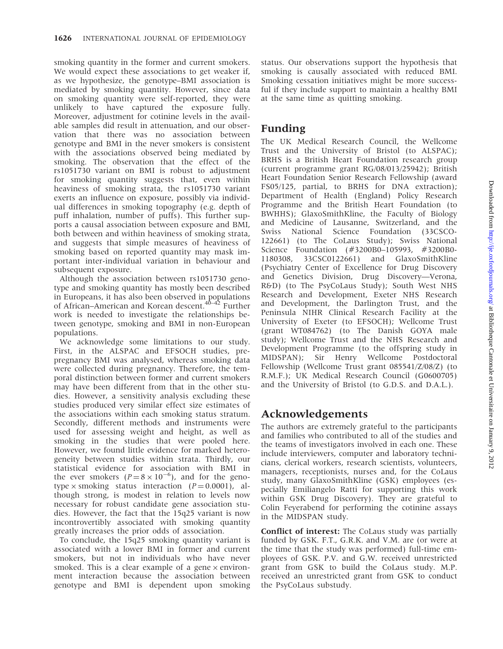smoking quantity in the former and current smokers. We would expect these associations to get weaker if, as we hypothesize, the genotype–BMI association is mediated by smoking quantity. However, since data on smoking quantity were self-reported, they were unlikely to have captured the exposure fully. Moreover, adjustment for cotinine levels in the available samples did result in attenuation, and our observation that there was no association between genotype and BMI in the never smokers is consistent with the associations observed being mediated by smoking. The observation that the effect of the rs1051730 variant on BMI is robust to adjustment for smoking quantity suggests that, even within heaviness of smoking strata, the rs1051730 variant exerts an influence on exposure, possibly via individual differences in smoking topography (e.g. depth of puff inhalation, number of puffs). This further supports a causal association between exposure and BMI, both between and within heaviness of smoking strata, and suggests that simple measures of heaviness of smoking based on reported quantity may mask important inter-individual variation in behaviour and subsequent exposure.

Although the association between rs1051730 genotype and smoking quantity has mostly been described in Europeans, it has also been observed in populations of African–American and Korean descent.<sup>40–42</sup> Further work is needed to investigate the relationships between genotype, smoking and BMI in non-European populations.

We acknowledge some limitations to our study. First, in the ALSPAC and EFSOCH studies, prepregnancy BMI was analysed, whereas smoking data were collected during pregnancy. Therefore, the temporal distinction between former and current smokers may have been different from that in the other studies. However, a sensitivity analysis excluding these studies produced very similar effect size estimates of the associations within each smoking status stratum. Secondly, different methods and instruments were used for assessing weight and height, as well as smoking in the studies that were pooled here. However, we found little evidence for marked heterogeneity between studies within strata. Thirdly, our statistical evidence for association with BMI in the ever smokers  $(P=8 \times 10^{-6})$ , and for the genotype  $\times$  smoking status interaction ( $P = 0.0001$ ), although strong, is modest in relation to levels now necessary for robust candidate gene association studies. However, the fact that the 15q25 variant is now incontrovertibly associated with smoking quantity greatly increases the prior odds of association.

To conclude, the 15q25 smoking quantity variant is associated with a lower BMI in former and current smokers, but not in individuals who have never smoked. This is a clear example of a gene  $\times$  environment interaction because the association between genotype and BMI is dependent upon smoking status. Our observations support the hypothesis that smoking is causally associated with reduced BMI. Smoking cessation initiatives might be more successful if they include support to maintain a healthy BMI at the same time as quitting smoking.

# Funding

The UK Medical Research Council, the Wellcome Trust and the University of Bristol (to ALSPAC); BRHS is a British Heart Foundation research group (current programme grant RG/08/013/25942); British Heart Foundation Senior Research Fellowship (award FS05/125, partial, to BRHS for DNA extraction); Department of Health (England) Policy Research Programme and the British Heart Foundation (to BWHHS); GlaxoSmithKline, the Faculty of Biology and Medicine of Lausanne, Switzerland, and the Swiss National Science Foundation (33CSCO-122661) (to The CoLaus Study); Swiss National Science Foundation (#3200B0–105993, #3200B0- 1180308, 33CSC0122661) and GlaxoSmithKline (Psychiatry Center of Excellence for Drug Discovery and Genetics Division, Drug Discovery—Verona, R&D) (to The PsyCoLaus Study); South West NHS Research and Development, Exeter NHS Research and Development, the Darlington Trust, and the Peninsula NIHR Clinical Research Facility at the University of Exeter (to EFSOCH); Wellcome Trust (grant WT084762) (to The Danish GOYA male study); Wellcome Trust and the NHS Research and Development Programme (to the offspring study in MIDSPAN); Sir Henry Wellcome Postdoctoral Fellowship (Wellcome Trust grant 085541/Z/08/Z) (to R.M.F.); UK Medical Research Council (G0600705) and the University of Bristol (to G.D.S. and D.A.L.).

# Acknowledgements

The authors are extremely grateful to the participants and families who contributed to all of the studies and the teams of investigators involved in each one. These include interviewers, computer and laboratory technicians, clerical workers, research scientists, volunteers, managers, receptionists, nurses and, for the CoLaus study, many GlaxoSmithKline (GSK) employees (especially Emiliangelo Ratti for supporting this work within GSK Drug Discovery). They are grateful to Colin Feyerabend for performing the cotinine assays in the MIDSPAN study.

Conflict of interest: The CoLaus study was partially funded by GSK. F.T., G.R.K. and V.M. are (or were at the time that the study was performed) full-time employees of GSK. P.V. and G.W. received unrestricted grant from GSK to build the CoLaus study. M.P. received an unrestricted grant from GSK to conduct the PsyCoLaus substudy.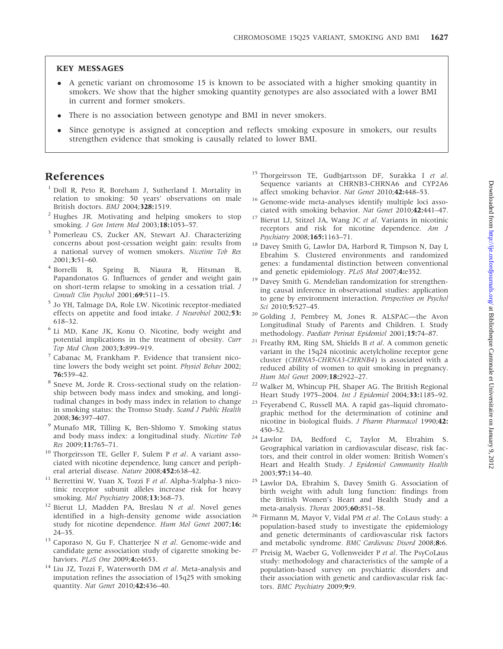## KEY MESSAGES

- A genetic variant on chromosome 15 is known to be associated with a higher smoking quantity in smokers. We show that the higher smoking quantity genotypes are also associated with a lower BMI in current and former smokers.
- There is no association between genotype and BMI in never smokers.
- Since genotype is assigned at conception and reflects smoking exposure in smokers, our results strengthen evidence that smoking is causally related to lower BMI.

# References

- <sup>1</sup> Doll R, Peto R, Boreham J, Sutherland I. Mortality in relation to smoking: 50 years' observations on male British doctors. BMJ 2004;328:1519.
- <sup>2</sup> Hughes JR. Motivating and helping smokers to stop smoking. *J Gen Intern Med* 2003;18:1053-57.
- <sup>3</sup> Pomerleau CS, Zucker AN, Stewart AJ. Characterizing concerns about post-cessation weight gain: results from a national survey of women smokers. Nicotine Tob Res 2001;3:51–60.
- <sup>4</sup> Borrelli B, Spring B, Niaura R, Hitsman B, Papandonatos G. Influences of gender and weight gain on short-term relapse to smoking in a cessation trial. J Consult Clin Psychol 2001;69:511–15.
- <sup>5</sup> Jo YH, Talmage DA, Role LW. Nicotinic receptor-mediated effects on appetite and food intake. J Neurobiol 2002;53: 618–32.
- <sup>6</sup> Li MD, Kane JK, Konu O. Nicotine, body weight and potential implications in the treatment of obesity. Curr Top Med Chem 2003;3:899-919.
- <sup>7</sup> Cabanac M, Frankham P. Evidence that transient nicotine lowers the body weight set point. Physiol Behav 2002; 76:539–42.
- <sup>8</sup> Sneve M, Jorde R. Cross-sectional study on the relationship between body mass index and smoking, and longitudinal changes in body mass index in relation to change in smoking status: the Tromso Study. Scand J Public Health 2008;36:397–407.
- <sup>9</sup> Munafo MR, Tilling K, Ben-Shlomo Y. Smoking status and body mass index: a longitudinal study. Nicotine Tob Res 2009;11:765–71.
- <sup>10</sup> Thorgeirsson TE, Geller F, Sulem P et al. A variant associated with nicotine dependence, lung cancer and peripheral arterial disease. Nature 2008;452:638–42.
- <sup>11</sup> Berrettini W, Yuan X, Tozzi F et al. Alpha-5/alpha-3 nicotinic receptor subunit alleles increase risk for heavy smoking. Mol Psychiatry 2008;13:368-73.
- <sup>12</sup> Bierut LJ, Madden PA, Breslau N et al. Novel genes identified in a high-density genome wide association study for nicotine dependence. Hum Mol Genet 2007;16: 24–35.
- $13$  Caporaso N, Gu F, Chatterjee N et al. Genome-wide and candidate gene association study of cigarette smoking behaviors. PLoS One 2009;4:e4653.
- <sup>14</sup> Liu JZ, Tozzi F, Waterworth DM et al. Meta-analysis and imputation refines the association of 15q25 with smoking quantity. Nat Genet 2010;42:436–40.
- <sup>15</sup> Thorgeirsson TE, Gudbjartsson DF, Surakka I et al. Sequence variants at CHRNB3-CHRNA6 and CYP2A6 affect smoking behavior. Nat Genet 2010;42:448–53.
- <sup>16</sup> Genome-wide meta-analyses identify multiple loci associated with smoking behavior. Nat Genet 2010;42:441–47.
- <sup>17</sup> Bierut LJ, Stitzel JA, Wang JC et al. Variants in nicotinic receptors and risk for nicotine dependence. Am J Psychiatry 2008;165:1163–71.
- <sup>18</sup> Davey Smith G, Lawlor DA, Harbord R, Timpson N, Day I, Ebrahim S. Clustered environments and randomized genes: a fundamental distinction between conventional and genetic epidemiology. PLoS Med 2007;4:e352.
- <sup>19</sup> Davey Smith G. Mendelian randomization for strengthening causal inference in observational studies: application to gene by environment interaction. Perspectives on Psychol Sci 2010;5:527-45.
- <sup>20</sup> Golding J, Pembrey M, Jones R. ALSPAC—the Avon Longitudinal Study of Parents and Children. I. Study methodology. Paediatr Perinat Epidemiol 2001;15:74–87.
- Freathy RM, Ring SM, Shields B et al. A common genetic variant in the 15q24 nicotinic acetylcholine receptor gene cluster (CHRNA5-CHRNA3-CHRNB4) is associated with a reduced ability of women to quit smoking in pregnancy. Hum Mol Genet 2009;18:2922–27.
- <sup>22</sup> Walker M, Whincup PH, Shaper AG. The British Regional Heart Study 1975–2004. Int J Epidemiol 2004;33:1185–92.
- <sup>23</sup> Feyerabend C, Russell MA. A rapid gas–liquid chromatographic method for the determination of cotinine and nicotine in biological fluids. J Pharm Pharmacol 1990;42: 450–52.
- <sup>24</sup> Lawlor DA, Bedford C, Taylor M, Ebrahim S. Geographical variation in cardiovascular disease, risk factors, and their control in older women: British Women's Heart and Health Study. J Epidemiol Community Health 2003;57:134–40.
- <sup>25</sup> Lawlor DA, Ebrahim S, Davey Smith G. Association of birth weight with adult lung function: findings from the British Women's Heart and Health Study and a meta-analysis. Thorax 2005;60:851–58.
- Firmann M, Mayor V, Vidal PM et al. The CoLaus study: a population-based study to investigate the epidemiology and genetic determinants of cardiovascular risk factors and metabolic syndrome. BMC Cardiovasc Disord 2008;8:6.
- <sup>27</sup> Preisig M, Waeber G, Vollenweider P et al. The PsyCoLaus study: methodology and characteristics of the sample of a population-based survey on psychiatric disorders and their association with genetic and cardiovascular risk factors. BMC Psychiatry 2009;9:9.